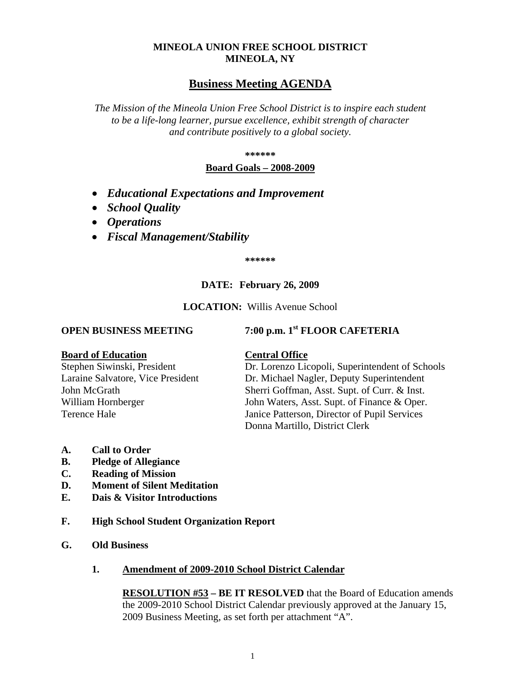## **MINEOLA UNION FREE SCHOOL DISTRICT MINEOLA, NY**

# **Business Meeting AGENDA**

*The Mission of the Mineola Union Free School District is to inspire each student to be a life-long learner, pursue excellence, exhibit strength of character and contribute positively to a global society.*

**\*\*\*\*\*\***

## **Board Goals – 2008-2009**

- *Educational Expectations and Improvement*
- *School Quality*
- *Operations*
- *Fiscal Management/Stability*

**\*\*\*\*\*\***

## **DATE: February 26, 2009**

#### **LOCATION:** Willis Avenue School

**OPEN BUSINESS MEETING 7:00 p.m. 1st FLOOR CAFETERIA**

#### **Board of Education Central Office**

Stephen Siwinski, President Dr. Lorenzo Licopoli, Superintendent of Schools Laraine Salvatore, Vice President Dr. Michael Nagler, Deputy Superintendent John McGrath Sherri Goffman, Asst. Supt. of Curr. & Inst. William Hornberger John Waters, Asst. Supt. of Finance & Oper. Terence Hale Janice Patterson, Director of Pupil Services Donna Martillo, District Clerk

- **A. Call to Order**
- **B. Pledge of Allegiance**
- **C. Reading of Mission**
- **D. Moment of Silent Meditation**
- **E. Dais & Visitor Introductions**
- **F. High School Student Organization Report**
- **G. Old Business**

#### **1. Amendment of 2009-2010 School District Calendar**

**RESOLUTION #53 – BE IT RESOLVED** that the Board of Education amends the 2009-2010 School District Calendar previously approved at the January 15, 2009 Business Meeting, as set forth per attachment "A".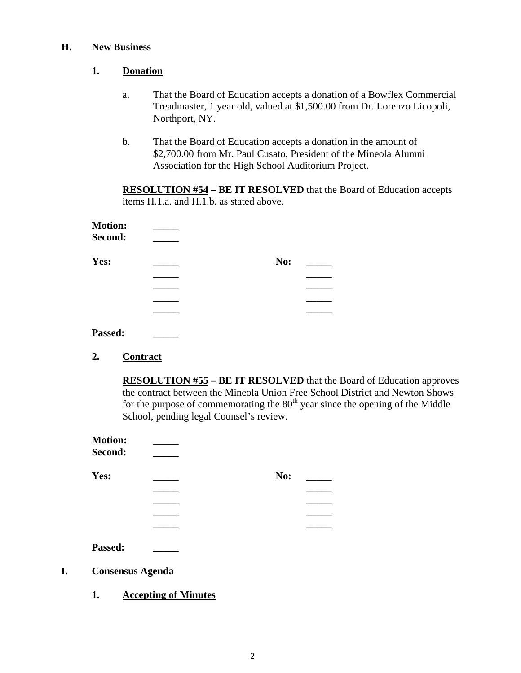#### **H. New Business**

## **1. Donation**

- a. That the Board of Education accepts a donation of a Bowflex Commercial Treadmaster, 1 year old, valued at \$1,500.00 from Dr. Lorenzo Licopoli, Northport, NY.
- b. That the Board of Education accepts a donation in the amount of \$2,700.00 from Mr. Paul Cusato, President of the Mineola Alumni Association for the High School Auditorium Project.

**RESOLUTION #54 – BE IT RESOLVED** that the Board of Education accepts items H.1.a. and H.1.b. as stated above.

| <b>Motion:</b> |     |  |
|----------------|-----|--|
| Second:        |     |  |
| Yes:           | No: |  |
|                |     |  |
|                |     |  |
|                |     |  |
|                |     |  |
|                |     |  |

# **Passed: \_\_\_\_\_**

## **2. Contract**

**RESOLUTION #55 – BE IT RESOLVED** that the Board of Education approves the contract between the Mineola Union Free School District and Newton Shows for the purpose of commemorating the  $80<sup>th</sup>$  year since the opening of the Middle School, pending legal Counsel's review.

|    | <b>Motion:</b><br>Second: |     |
|----|---------------------------|-----|
|    | Yes:                      | No: |
|    |                           |     |
|    |                           |     |
|    |                           |     |
|    |                           |     |
|    | Passed:                   |     |
| I. | <b>Consensus Agenda</b>   |     |

**1. Accepting of Minutes**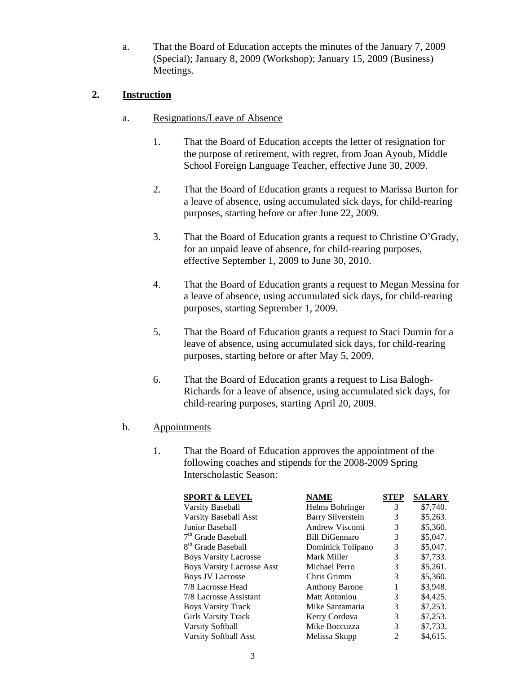a. That the Board of Education accepts the minutes of the January 7, 2009 (Special); January 8, 2009 (Workshop); January 15, 2009 (Business) Meetings.

## **2. Instruction**

- a. Resignations/Leave of Absence
	- 1. That the Board of Education accepts the letter of resignation for the purpose of retirement, with regret, from Joan Ayoub, Middle School Foreign Language Teacher, effective June 30, 2009.
	- 2. That the Board of Education grants a request to Marissa Burton for a leave of absence, using accumulated sick days, for child-rearing purposes, starting before or after June 22, 2009.
	- 3. That the Board of Education grants a request to Christine O'Grady, for an unpaid leave of absence, for child-rearing purposes, effective September 1, 2009 to June 30, 2010.
	- 4. That the Board of Education grants a request to Megan Messina for a leave of absence, using accumulated sick days, for child-rearing purposes, starting September 1, 2009.
	- 5. That the Board of Education grants a request to Staci Durnin for a leave of absence, using accumulated sick days, for child-rearing purposes, starting before or after May 5, 2009.
	- 6. That the Board of Education grants a request to Lisa Balogh-Richards for a leave of absence, using accumulated sick days, for child-rearing purposes, starting April 20, 2009.
- b. Appointments
	- 1. That the Board of Education approves the appointment of the following coaches and stipends for the 2008-2009 Spring Interscholastic Season:

| <b>SPORT &amp; LEVEL</b>          | <b>NAME</b>              | STEP | <b>SALARY</b> |
|-----------------------------------|--------------------------|------|---------------|
| <b>Varsity Baseball</b>           | Helms Bohringer          | 3    | \$7,740.      |
| Varsity Baseball Asst             | <b>Barry Silverstein</b> | 3    | \$5,263.      |
| Junior Baseball                   | <b>Andrew Visconti</b>   | 3    | \$5,360.      |
| $7th$ Grade Baseball              | <b>Bill DiGennaro</b>    | 3    | \$5,047.      |
| 8 <sup>th</sup> Grade Baseball    | Dominick Tolipano        | 3    | \$5,047.      |
| <b>Boys Varsity Lacrosse</b>      | Mark Miller              | 3    | \$7,733.      |
| <b>Boys Varsity Lacrosse Asst</b> | Michael Perro            | 3    | \$5,261.      |
| <b>Boys JV Lacrosse</b>           | Chris Grimm              | 3    | \$5,360.      |
| 7/8 Lacrosse Head                 | <b>Anthony Barone</b>    | 1    | \$3,948.      |
| 7/8 Lacrosse Assistant            | <b>Matt Antoniou</b>     | 3    | \$4,425.      |
| <b>Boys Varsity Track</b>         | Mike Santamaria          | 3    | \$7,253.      |
| <b>Girls Varsity Track</b>        | Kerry Cordova            | 3    | \$7,253.      |
| Varsity Softball                  | Mike Boccuzza            | 3    | \$7,733.      |
| Varsity Softball Asst             | Melissa Skupp            | 2    | \$4.615.      |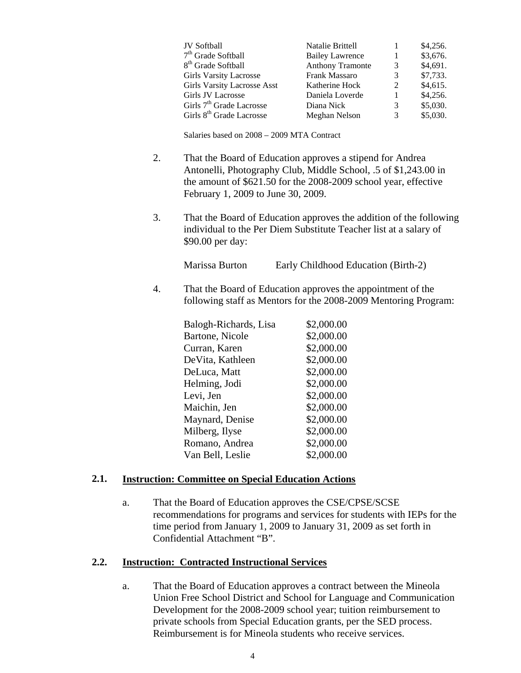| <b>JV</b> Softball                   | Natalie Brittell        |   | \$4,256. |
|--------------------------------------|-------------------------|---|----------|
| 7 <sup>th</sup> Grade Softball       | <b>Bailey Lawrence</b>  |   | \$3,676. |
| 8 <sup>th</sup> Grade Softball       | <b>Anthony Tramonte</b> | 3 | \$4,691. |
| <b>Girls Varsity Lacrosse</b>        | Frank Massaro           | 3 | \$7,733. |
| <b>Girls Varsity Lacrosse Asst</b>   | Katherine Hock          | 2 | \$4,615. |
| Girls JV Lacrosse                    | Daniela Loverde         |   | \$4,256. |
| Girls 7 <sup>th</sup> Grade Lacrosse | Diana Nick              | 3 | \$5,030. |
| Girls 8 <sup>th</sup> Grade Lacrosse | Meghan Nelson           | 3 | \$5,030. |

Salaries based on 2008 – 2009 MTA Contract

- 2. That the Board of Education approves a stipend for Andrea Antonelli, Photography Club, Middle School, .5 of \$1,243.00 in the amount of \$621.50 for the 2008-2009 school year, effective February 1, 2009 to June 30, 2009.
- 3. That the Board of Education approves the addition of the following individual to the Per Diem Substitute Teacher list at a salary of \$90.00 per day:

Marissa Burton Early Childhood Education (Birth-2)

4. That the Board of Education approves the appointment of the following staff as Mentors for the 2008-2009 Mentoring Program:

| Balogh-Richards, Lisa | \$2,000.00 |
|-----------------------|------------|
| Bartone, Nicole       | \$2,000.00 |
| Curran, Karen         | \$2,000.00 |
| DeVita, Kathleen      | \$2,000.00 |
| DeLuca, Matt          | \$2,000.00 |
| Helming, Jodi         | \$2,000.00 |
| Levi, Jen             | \$2,000.00 |
| Maichin, Jen          | \$2,000.00 |
| Maynard, Denise       | \$2,000.00 |
| Milberg, Ilyse        | \$2,000.00 |
| Romano, Andrea        | \$2,000.00 |
| Van Bell, Leslie      | \$2,000.00 |

## **2.1. Instruction: Committee on Special Education Actions**

a. That the Board of Education approves the CSE/CPSE/SCSE recommendations for programs and services for students with IEPs for the time period from January 1, 2009 to January 31, 2009 as set forth in Confidential Attachment "B".

#### **2.2. Instruction: Contracted Instructional Services**

a. That the Board of Education approves a contract between the Mineola Union Free School District and School for Language and Communication Development for the 2008-2009 school year; tuition reimbursement to private schools from Special Education grants, per the SED process. Reimbursement is for Mineola students who receive services.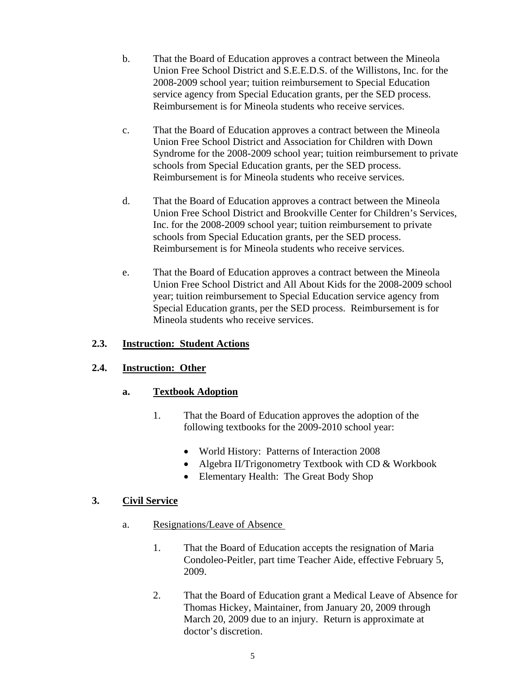- b. That the Board of Education approves a contract between the Mineola Union Free School District and S.E.E.D.S. of the Willistons, Inc. for the 2008-2009 school year; tuition reimbursement to Special Education service agency from Special Education grants, per the SED process. Reimbursement is for Mineola students who receive services.
- c. That the Board of Education approves a contract between the Mineola Union Free School District and Association for Children with Down Syndrome for the 2008-2009 school year; tuition reimbursement to private schools from Special Education grants, per the SED process. Reimbursement is for Mineola students who receive services.
- d. That the Board of Education approves a contract between the Mineola Union Free School District and Brookville Center for Children's Services, Inc. for the 2008-2009 school year; tuition reimbursement to private schools from Special Education grants, per the SED process. Reimbursement is for Mineola students who receive services.
- e. That the Board of Education approves a contract between the Mineola Union Free School District and All About Kids for the 2008-2009 school year; tuition reimbursement to Special Education service agency from Special Education grants, per the SED process. Reimbursement is for Mineola students who receive services.

## **2.3. Instruction: Student Actions**

## **2.4. Instruction: Other**

## **a. Textbook Adoption**

- 1. That the Board of Education approves the adoption of the following textbooks for the 2009-2010 school year:
	- World History: Patterns of Interaction 2008
	- Algebra II/Trigonometry Textbook with CD & Workbook
	- Elementary Health: The Great Body Shop

# **3. Civil Service**

- a. Resignations/Leave of Absence
	- 1. That the Board of Education accepts the resignation of Maria Condoleo-Peitler, part time Teacher Aide, effective February 5, 2009.
	- 2. That the Board of Education grant a Medical Leave of Absence for Thomas Hickey, Maintainer, from January 20, 2009 through March 20, 2009 due to an injury. Return is approximate at doctor's discretion.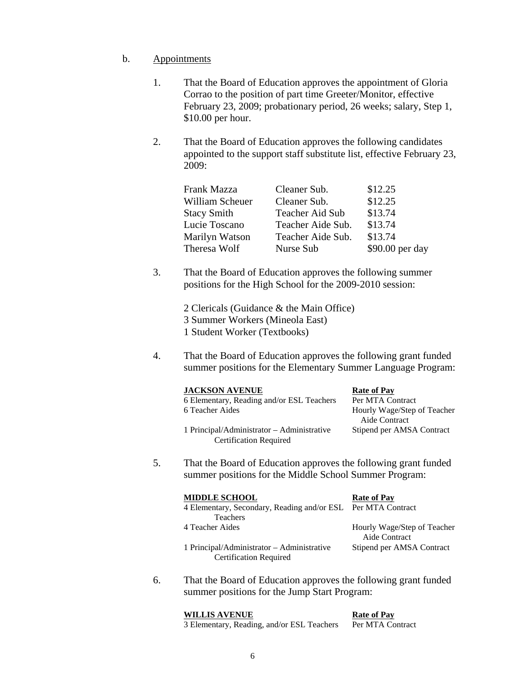#### b. Appointments

- 1. That the Board of Education approves the appointment of Gloria Corrao to the position of part time Greeter/Monitor, effective February 23, 2009; probationary period, 26 weeks; salary, Step 1, \$10.00 per hour.
- 2. That the Board of Education approves the following candidates appointed to the support staff substitute list, effective February 23, 2009:

| Frank Mazza        | Cleaner Sub.      | \$12.25         |
|--------------------|-------------------|-----------------|
| William Scheuer    | Cleaner Sub.      | \$12.25         |
| <b>Stacy Smith</b> | Teacher Aid Sub   | \$13.74         |
| Lucie Toscano      | Teacher Aide Sub. | \$13.74         |
| Marilyn Watson     | Teacher Aide Sub. | \$13.74         |
| Theresa Wolf       | Nurse Sub         | \$90.00 per day |

3. That the Board of Education approves the following summer positions for the High School for the 2009-2010 session:

> 2 Clericals (Guidance & the Main Office) 3 Summer Workers (Mineola East) 1 Student Worker (Textbooks)

4. That the Board of Education approves the following grant funded summer positions for the Elementary Summer Language Program:

| <b>JACKSON AVENUE</b>                                                       | <b>Rate of Pay</b>                           |
|-----------------------------------------------------------------------------|----------------------------------------------|
| 6 Elementary, Reading and/or ESL Teachers                                   | Per MTA Contract                             |
| 6 Teacher Aides                                                             | Hourly Wage/Step of Teacher<br>Aide Contract |
| 1 Principal/Administrator – Administrative<br><b>Certification Required</b> | Stipend per AMSA Contract                    |

5. That the Board of Education approves the following grant funded summer positions for the Middle School Summer Program:

| <b>MIDDLE SCHOOL</b>                                         | <b>Rate of Pay</b>          |
|--------------------------------------------------------------|-----------------------------|
| 4 Elementary, Secondary, Reading and/or ESL Per MTA Contract |                             |
| <b>Teachers</b>                                              |                             |
| 4 Teacher Aides                                              | Hourly Wage/Step of Teacher |
|                                                              | Aide Contract               |
| 1 Principal/Administrator – Administrative                   | Stipend per AMSA Contract   |
| <b>Certification Required</b>                                |                             |

6. That the Board of Education approves the following grant funded summer positions for the Jump Start Program:

**WILLIS AVENUE Rate of Pay** 3 Elementary, Reading, and/or ESL Teachers Per MTA Contract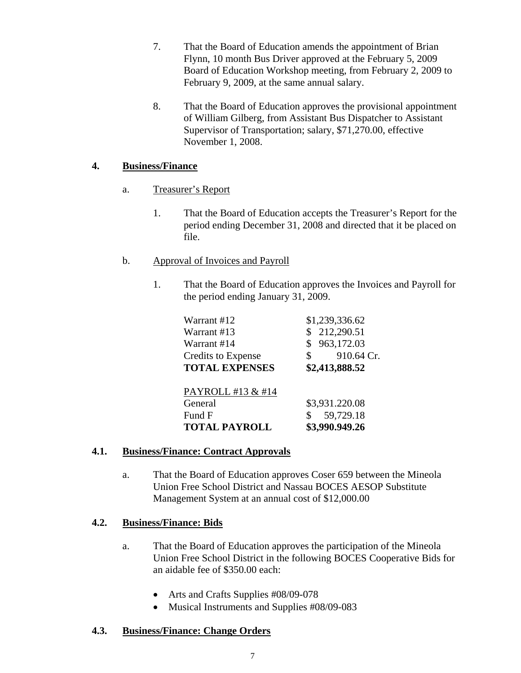- 7. That the Board of Education amends the appointment of Brian Flynn, 10 month Bus Driver approved at the February 5, 2009 Board of Education Workshop meeting, from February 2, 2009 to February 9, 2009, at the same annual salary.
- 8. That the Board of Education approves the provisional appointment of William Gilberg, from Assistant Bus Dispatcher to Assistant Supervisor of Transportation; salary, \$71,270.00, effective November 1, 2008.

## **4. Business/Finance**

- a. Treasurer's Report
	- 1. That the Board of Education accepts the Treasurer's Report for the period ending December 31, 2008 and directed that it be placed on file.

## b. Approval of Invoices and Payroll

1. That the Board of Education approves the Invoices and Payroll for the period ending January 31, 2009.

| Warrant #12               | \$1,239,336.62   |
|---------------------------|------------------|
| Warrant #13               | 212,290.51       |
| Warrant #14               | 963,172.03       |
| <b>Credits to Expense</b> | 910.64 Cr.<br>\$ |
| <b>TOTAL EXPENSES</b>     | \$2,413,888.52   |
|                           |                  |
| PAYROLL #13 & #14         |                  |
| General                   | \$3,931.220.08   |
| Fund F                    | 59,729.18        |
| <b>TOTAL PAYROLL</b>      | \$3,990.949.26   |

## **4.1. Business/Finance: Contract Approvals**

a. That the Board of Education approves Coser 659 between the Mineola Union Free School District and Nassau BOCES AESOP Substitute Management System at an annual cost of \$12,000.00

# **4.2. Business/Finance: Bids**

- a. That the Board of Education approves the participation of the Mineola Union Free School District in the following BOCES Cooperative Bids for an aidable fee of \$350.00 each:
	- Arts and Crafts Supplies #08/09-078
	- Musical Instruments and Supplies #08/09-083

# **4.3. Business/Finance: Change Orders**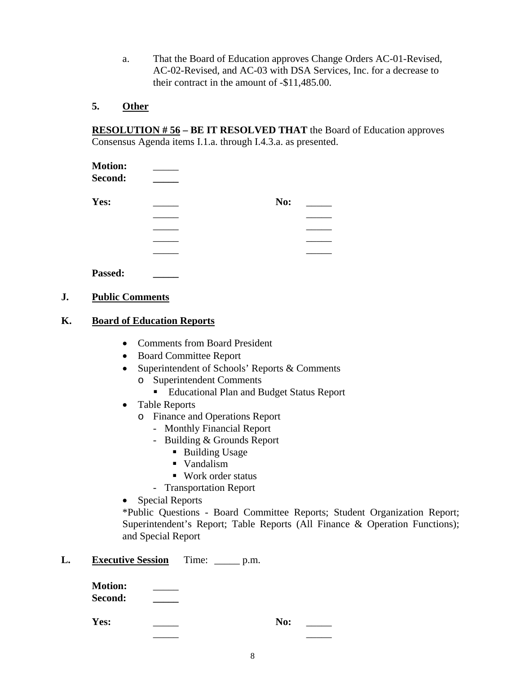a. That the Board of Education approves Change Orders AC-01-Revised, AC-02-Revised, and AC-03 with DSA Services, Inc. for a decrease to their contract in the amount of -\$11,485.00.

#### **5. Other**

**RESOLUTION # 56 – BE IT RESOLVED THAT** the Board of Education approves Consensus Agenda items I.1.a. through I.4.3.a. as presented.

| <b>Motion:</b> |     |  |
|----------------|-----|--|
| Second:        |     |  |
| Yes:           | No: |  |
|                |     |  |
|                |     |  |
|                |     |  |
|                |     |  |
|                |     |  |

**Passed: \_\_\_\_\_**

#### **J. Public Comments**

#### **K. Board of Education Reports**

- Comments from Board President
- Board Committee Report
- Superintendent of Schools' Reports & Comments
	- o Superintendent Comments
		- Educational Plan and Budget Status Report
- Table Reports
	- o Finance and Operations Report
		- Monthly Financial Report
		- Building & Grounds Report
			- Building Usage
			- Vandalism
			- Work order status
		- Transportation Report
- Special Reports

\*Public Questions - Board Committee Reports; Student Organization Report; Superintendent's Report; Table Reports (All Finance & Operation Functions); and Special Report

## **L. Executive Session** Time: \_\_\_\_\_ p.m.

**Motion:** \_\_\_\_\_ **Second: \_\_\_\_\_**

**Yes:** \_\_\_\_\_ **No:** \_\_\_\_\_

\_\_\_\_\_ \_\_\_\_\_